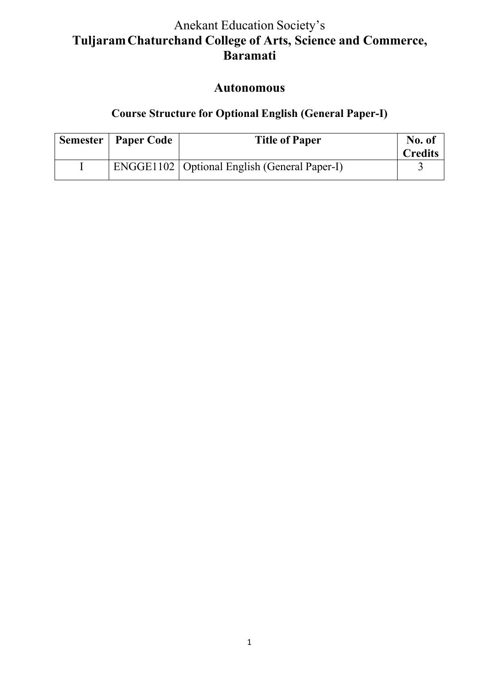# Anekant Education Society's **TuljaramChaturchand College of Arts, Science and Commerce, Baramati**

# **Autonomous**

# **Course Structure for Optional English (General Paper-I)**

| <b>Semester   Paper Code</b> | <b>Title of Paper</b>                                 | No. of<br><b>Credits</b> |
|------------------------------|-------------------------------------------------------|--------------------------|
|                              | <b>ENGGE1102</b>   Optional English (General Paper-I) |                          |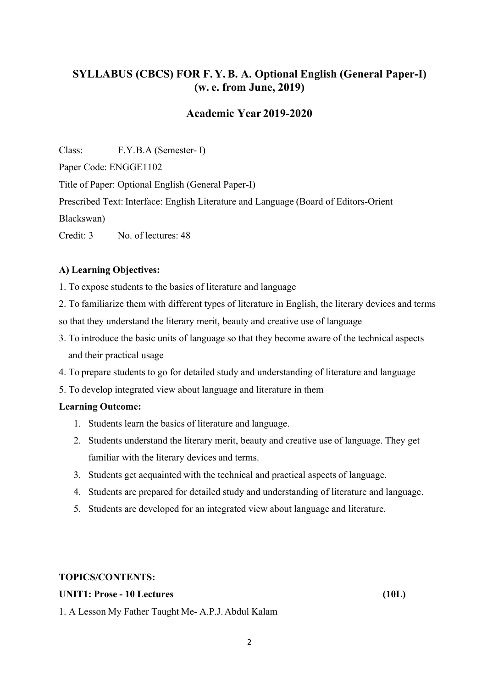## **SYLLABUS (CBCS) FOR F. Y.B. A. Optional English (General Paper-I) (w. e. from June, 2019)**

### **Academic Year 2019-2020**

Class: F.Y.B.A (Semester- I) Paper Code: ENGGE1102 Title of Paper: Optional English (General Paper-I)

Prescribed Text: Interface: English Literature and Language (Board of Editors-Orient

Blackswan)

Credit: 3 No. of lectures: 48

### **A) Learning Objectives:**

1. To expose students to the basics of literature and language

2. To familiarize them with different types of literature in English, the literary devices and terms so that they understand the literary merit, beauty and creative use of language

- 3. To introduce the basic units of language so that they become aware of the technical aspects and their practical usage
- 4. To prepare students to go for detailed study and understanding of literature and language
- 5. To develop integrated view about language and literature in them

#### **Learning Outcome:**

- 1. Students learn the basics of literature and language.
- 2. Students understand the literary merit, beauty and creative use of language. They get familiar with the literary devices and terms.
- 3. Students get acquainted with the technical and practical aspects of language.
- 4. Students are prepared for detailed study and understanding of literature and language.
- 5. Students are developed for an integrated view about language and literature.

#### **TOPICS/CONTENTS:**

#### **UNIT1: Prose - 10 Lectures (10L)**

1. A Lesson My Father Taught Me- A.P.J.Abdul Kalam

2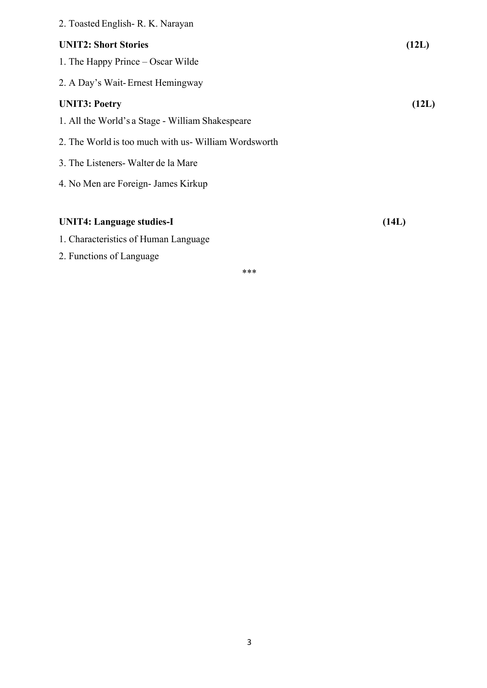| 2. Toasted English - R. K. Narayan                  |       |
|-----------------------------------------------------|-------|
| <b>UNIT2: Short Stories</b>                         | (12L) |
| 1. The Happy Prince – Oscar Wilde                   |       |
| 2. A Day's Wait-Ernest Hemingway                    |       |
| <b>UNIT3: Poetry</b>                                | (12L) |
| 1. All the World's a Stage - William Shakespeare    |       |
| 2. The World is too much with us-William Wordsworth |       |
| 3. The Listeners Walter de la Mare                  |       |
| 4. No Men are Foreign- James Kirkup                 |       |
|                                                     |       |
| <b>UNIT4: Language studies-I</b>                    | (14L) |
| 1. Characteristics of Human Language                |       |

2. Functions of Language

\*\*\*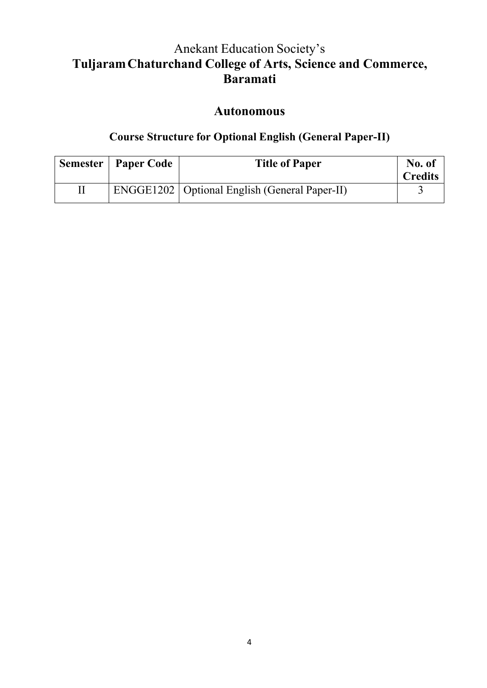# Anekant Education Society's **TuljaramChaturchand College of Arts, Science and Commerce, Baramati**

## **Autonomous**

## **Course Structure for Optional English (General Paper-II)**

| <b>Semester   Paper Code</b> | <b>Title of Paper</b>                                  | No. of<br><b>Credits</b> |
|------------------------------|--------------------------------------------------------|--------------------------|
|                              | <b>ENGGE1202</b>   Optional English (General Paper-II) |                          |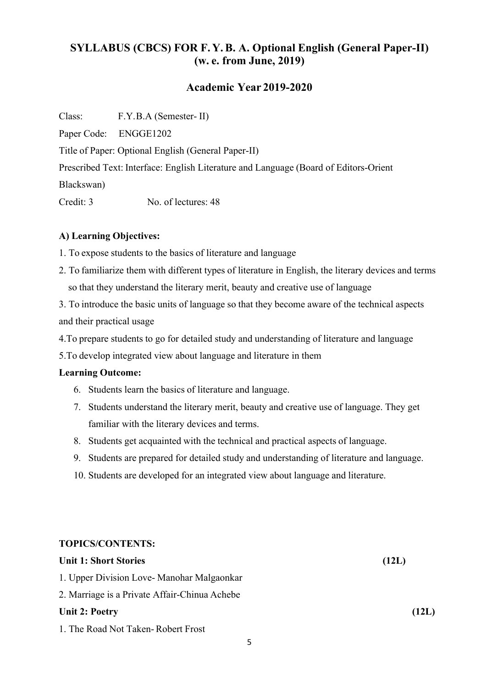## **SYLLABUS (CBCS) FOR F. Y.B. A. Optional English (General Paper-II) (w. e. from June, 2019)**

### **Academic Year 2019-2020**

Class: F.Y.B.A (Semester- II)

Paper Code: ENGGE1202

Title of Paper: Optional English (General Paper-II)

Prescribed Text: Interface: English Literature and Language (Board of Editors-Orient

Blackswan)

Credit: 3 No. of lectures: 48

### **A) Learning Objectives:**

1. To expose students to the basics of literature and language

2. To familiarize them with different types of literature in English, the literary devices and terms so that they understand the literary merit, beauty and creative use of language

3. To introduce the basic units of language so that they become aware of the technical aspects and their practical usage

4.To prepare students to go for detailed study and understanding of literature and language

5.To develop integrated view about language and literature in them

#### **Learning Outcome:**

- 6. Students learn the basics of literature and language.
- 7. Students understand the literary merit, beauty and creative use of language. They get familiar with the literary devices and terms.
- 8. Students get acquainted with the technical and practical aspects of language.
- 9. Students are prepared for detailed study and understanding of literature and language.
- 10. Students are developed for an integrated view about language and literature.

### **TOPICS/CONTENTS:**

| <b>Unit 1: Short Stories</b>                  | (12L) |
|-----------------------------------------------|-------|
| 1. Upper Division Love- Manohar Malgaonkar    |       |
| 2. Marriage is a Private Affair-Chinua Achebe |       |
| <b>Unit 2: Poetry</b>                         | (12L) |
| 1. The Road Not Taken-Robert Frost            |       |